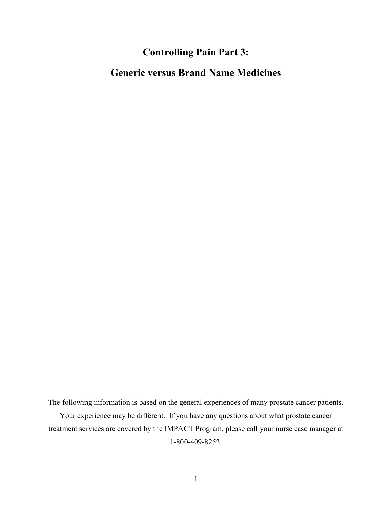### **Controlling Pain Part 3:**

### **Generic versus Brand Name Medicines**

The following information is based on the general experiences of many prostate cancer patients. Your experience may be different. If you have any questions about what prostate cancer treatment services are covered by the IMPACT Program, please call your nurse case manager at 1-800-409-8252.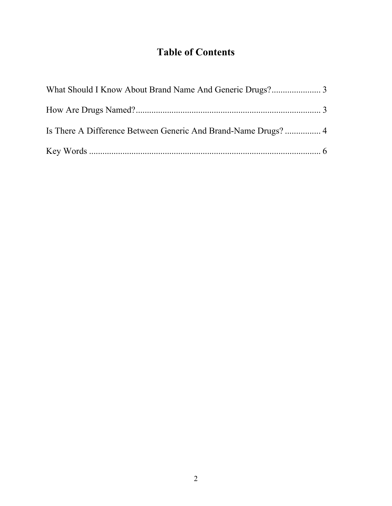# **Table of Contents**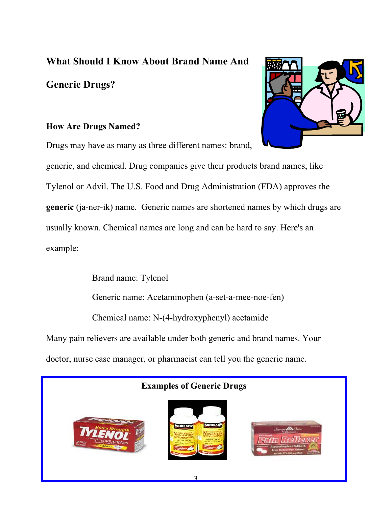## **What Should I Know About Brand Name And**

### **Generic Drugs?**

#### **How Are Drugs Named?**

Drugs may have as many as three different names: brand,

generic, and chemical. Drug companies give their products brand names, like Tylenol or Advil. The U.S. Food and Drug Administration (FDA) approves the **generic** (ja-ner-ik) name. Generic names are shortened names by which drugs are usually known. Chemical names are long and can be hard to say. Here's an example:

Brand name: Tylenol Generic name: Acetaminophen (a-set-a-mee-noe-fen) Chemical name: N-(4-hydroxyphenyl) acetamide Many pain relievers are available under both generic and brand names. Your doctor, nurse case manager, or pharmacist can tell you the generic name.



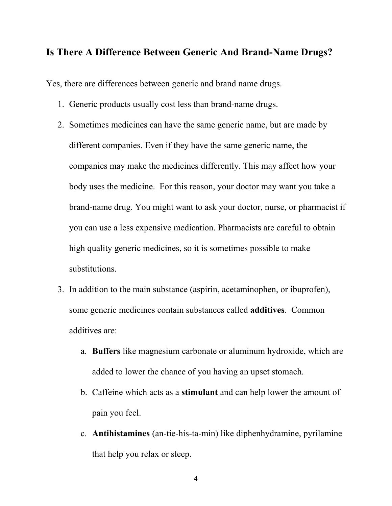#### **Is There A Difference Between Generic And Brand-Name Drugs?**

Yes, there are differences between generic and brand name drugs.

- 1. Generic products usually cost less than brand-name drugs.
- 2. Sometimes medicines can have the same generic name, but are made by different companies. Even if they have the same generic name, the companies may make the medicines differently. This may affect how your body uses the medicine. For this reason, your doctor may want you take a brand-name drug. You might want to ask your doctor, nurse, or pharmacist if you can use a less expensive medication. Pharmacists are careful to obtain high quality generic medicines, so it is sometimes possible to make substitutions.
- 3. In addition to the main substance (aspirin, acetaminophen, or ibuprofen), some generic medicines contain substances called **additives**. Common additives are:
	- a. **Buffers** like magnesium carbonate or aluminum hydroxide, which are added to lower the chance of you having an upset stomach.
	- b. Caffeine which acts as a **stimulant** and can help lower the amount of pain you feel.
	- c. **Antihistamines** (an-tie-his-ta-min) like diphenhydramine, pyrilamine that help you relax or sleep.

4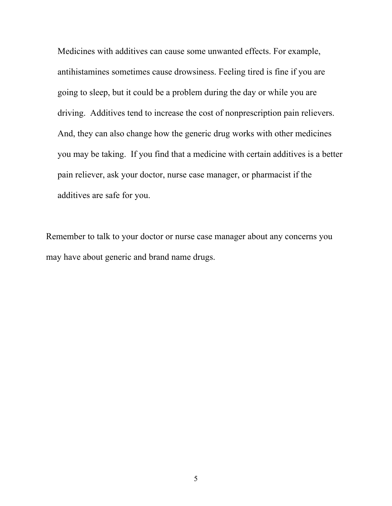Medicines with additives can cause some unwanted effects. For example, antihistamines sometimes cause drowsiness. Feeling tired is fine if you are going to sleep, but it could be a problem during the day or while you are driving. Additives tend to increase the cost of nonprescription pain relievers. And, they can also change how the generic drug works with other medicines you may be taking. If you find that a medicine with certain additives is a better pain reliever, ask your doctor, nurse case manager, or pharmacist if the additives are safe for you.

Remember to talk to your doctor or nurse case manager about any concerns you may have about generic and brand name drugs.